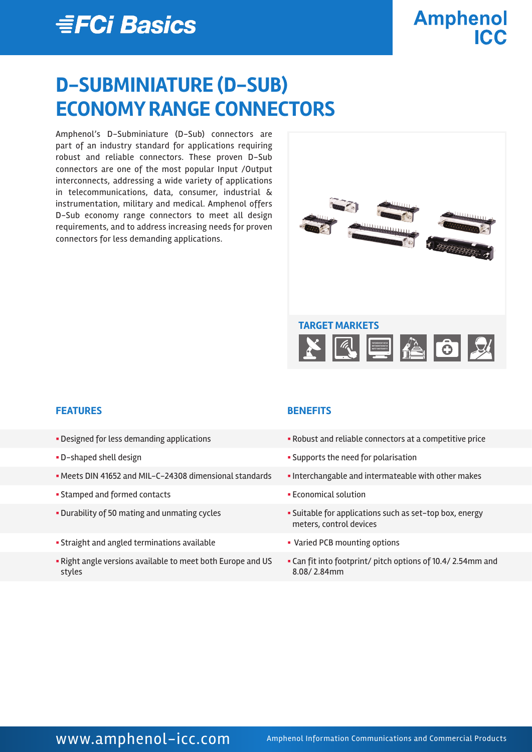## *≣FCi Basics*

# **Amphenol**

## **D-SUBMINIATURE (D-SUB) ECONOMY RANGE CONNECTORS**

Amphenol's D-Subminiature (D-Sub) connectors are part of an industry standard for applications requiring robust and reliable connectors. These proven D-Sub connectors are one of the most popular Input /Output interconnects, addressing a wide variety of applications in telecommunications, data, consumer, industrial & instrumentation, military and medical. Amphenol offers D-Sub economy range connectors to meet all design requirements, and to address increasing needs for proven connectors for less demanding applications.



#### **FEATURES BENEFITS**

- 
- 
- Meets DIN 41652 and MIL-C-24308 dimensional standards Interchangable and intermateable with other makes
- § Stamped and formed contacts § Economical solution
- 
- Straight and angled terminations available **by Straight and angled terminations available intervals Fig. 7** Varied PCB mounting options
- § Right angle versions available to meet both Europe and US styles

- Designed for less demanding applications  **Robust and reliable connectors at a competitive price**
- § D-shaped shell design § Supports the need for polarisation
	-
	-
- Durability of 50 mating and unmating cycles  **Suitable for applications such as set-top box, energy** meters, control devices
	-
	- § Can fit into footprint/ pitch options of 10.4/ 2.54mm and 8.08/ 2.84mm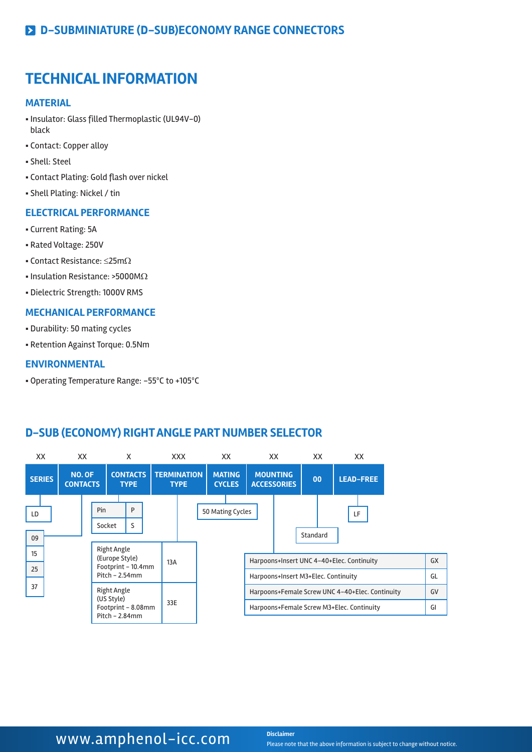### **TECHNICAL INFORMATION**

#### **MATERIAL**

- § Insulator: Glass filled Thermoplastic (UL94V-0) black
- § Contact: Copper alloy
- § Shell: Steel
- § Contact Plating: Gold flash over nickel
- § Shell Plating: Nickel / tin

#### **ELECTRICAL PERFORMANCE**

- § Current Rating: 5A
- § Rated Voltage: 250V
- Contact Resistance:  $\leq$ 25m $\Omega$
- § Insulation Resistance: >5000MΩ
- § Dielectric Strength: 1000V RMS

#### **MECHANICAL PERFORMANCE**

- § Durability: 50 mating cycles
- § Retention Against Torque: 0.5Nm

#### **ENVIRONMENTAL**

§ Operating Temperature Range: -55ºC to +105ºC

#### **D-SUB (ECONOMY) RIGHT ANGLE PART NUMBER SELECTOR**

| XX             | XX.                       |     |                           | X                                                        |     | XXX                               |                  | XX.                            | XX                                                                               |          | XX | XX               |          |
|----------------|---------------------------|-----|---------------------------|----------------------------------------------------------|-----|-----------------------------------|------------------|--------------------------------|----------------------------------------------------------------------------------|----------|----|------------------|----------|
| <b>SERIES</b>  | NO. OF<br><b>CONTACTS</b> |     |                           | <b>CONTACTS</b><br><b>TYPE</b>                           |     | <b>TERMINATION</b><br><b>TYPE</b> |                  | <b>MATING</b><br><b>CYCLES</b> | <b>MOUNTING</b><br><b>ACCESSORIES</b>                                            |          | 00 | <b>LEAD-FREE</b> |          |
| LD<br>09<br>15 |                           | Pin | Socket<br>Right Angle     | P<br>S                                                   |     |                                   | 50 Mating Cycles |                                |                                                                                  | Standard |    | LF               |          |
| 25             |                           |     |                           | (Europe Style)<br>Footprint - 10.4mm<br>$Pitch - 2.54mm$ | 13A |                                   |                  |                                | Harpoons+Insert UNC 4-40+Elec. Continuity<br>Harpoons+Insert M3+Elec. Continuity |          |    |                  | GX<br>GL |
| 37             |                           |     | Right Angle<br>(US Style) |                                                          |     |                                   |                  |                                | Harpoons+Female Screw UNC 4-40+Elec. Continuity                                  |          |    |                  | GV       |
|                |                           |     |                           | Footprint - 8.08mm<br>$Pitch - 2.84mm$                   | 33E |                                   |                  |                                | Harpoons+Female Screw M3+Elec. Continuity                                        |          |    |                  | GI       |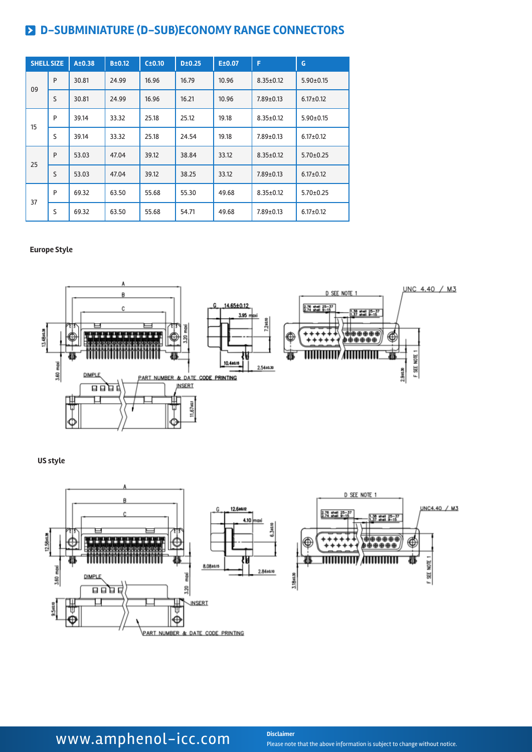|    | <b>SHELL SIZE</b> | A±0.38 | B±0.12 | C±0.10 | D±0.25 | E±0.07 | F               | G               |
|----|-------------------|--------|--------|--------|--------|--------|-----------------|-----------------|
| 09 | P                 | 30.81  | 24.99  | 16.96  | 16.79  | 10.96  | $8.35 \pm 0.12$ | $5.90 \pm 0.15$ |
|    | S                 | 30.81  | 24.99  | 16.96  | 16.21  | 10.96  | $7.89 \pm 0.13$ | $6.17 \pm 0.12$ |
| 15 | P                 | 39.14  | 33.32  | 25.18  | 25.12  | 19.18  | $8.35 \pm 0.12$ | $5.90 \pm 0.15$ |
|    | S                 | 39.14  | 33.32  | 25.18  | 24.54  | 19.18  | $7.89 \pm 0.13$ | $6.17 \pm 0.12$ |
| 25 | P                 | 53.03  | 47.04  | 39.12  | 38.84  | 33.12  | $8.35 \pm 0.12$ | $5.70 \pm 0.25$ |
|    | S                 | 53.03  | 47.04  | 39.12  | 38.25  | 33.12  | $7.89 \pm 0.13$ | $6.17 \pm 0.12$ |
| 37 | P                 | 69.32  | 63.50  | 55.68  | 55.30  | 49.68  | $8.35 \pm 0.12$ | $5.70 \pm 0.25$ |
|    | S                 | 69.32  | 63.50  | 55.68  | 54.71  | 49.68  | $7.89 \pm 0.13$ | $6.17 \pm 0.12$ |

#### **Europe Style**



#### **US style**



## **WWW.amphenol-icc.com** Disclaimer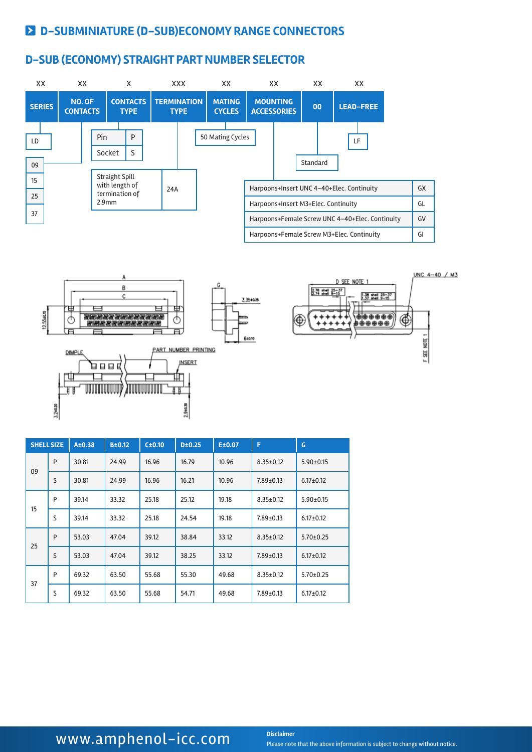#### **D-SUB (ECONOMY) STRAIGHT PART NUMBER SELECTOR**



|    | <b>SHELL SIZE</b> | A±0.38 | B±0.12 | C±0.10 | D±0.25 | E±0.07 | F               | G               |
|----|-------------------|--------|--------|--------|--------|--------|-----------------|-----------------|
| 09 | P                 | 30.81  | 24.99  | 16.96  | 16.79  | 10.96  | $8.35 \pm 0.12$ | $5.90 \pm 0.15$ |
|    | S                 | 30.81  | 24.99  | 16.96  | 16.21  | 10.96  | $7.89 \pm 0.13$ | $6.17 \pm 0.12$ |
| 15 | P                 | 39.14  | 33.32  | 25.18  | 25.12  | 19.18  | $8.35 \pm 0.12$ | $5.90 \pm 0.15$ |
|    | S                 | 39.14  | 33.32  | 25.18  | 24.54  | 19.18  | $7.89 \pm 0.13$ | $6.17 \pm 0.12$ |
| 25 | P                 | 53.03  | 47.04  | 39.12  | 38.84  | 33.12  | $8.35 \pm 0.12$ | $5.70 \pm 0.25$ |
|    | S                 | 53.03  | 47.04  | 39.12  | 38.25  | 33.12  | $7.89 \pm 0.13$ | $6.17 \pm 0.12$ |
|    | P                 | 69.32  | 63.50  | 55.68  | 55.30  | 49.68  | $8.35 \pm 0.12$ | $5.70 \pm 0.25$ |
| 37 | S                 | 69.32  | 63.50  | 55.68  | 54.71  | 49.68  | $7.89 \pm 0.13$ | $6.17 \pm 0.12$ |

### WWW.amphenol-icc.com **Disclaimer**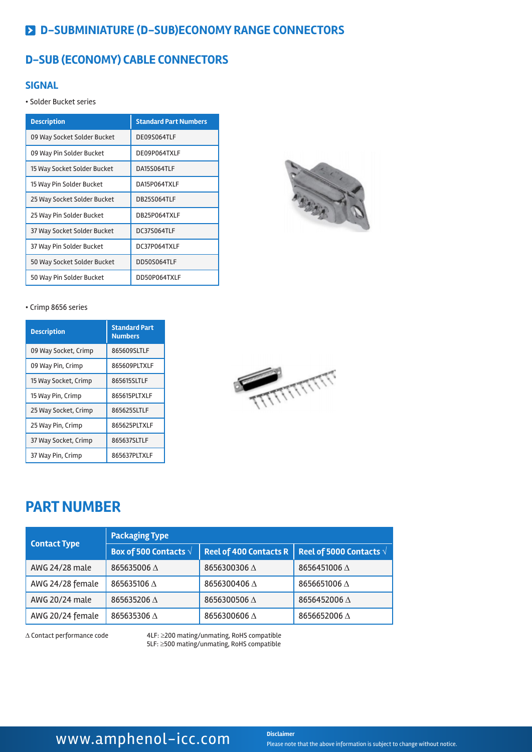### **D-SUB (ECONOMY) CABLE CONNECTORS**

#### **SIGNAL**

• Solder Bucket series

| <b>Description</b>          | <b>Standard Part Numbers</b> |
|-----------------------------|------------------------------|
| 09 Way Socket Solder Bucket | DE09S064TLF                  |
| 09 Way Pin Solder Bucket    | DE09P064TXLF                 |
| 15 Way Socket Solder Bucket | DA15S064TLF                  |
| 15 Way Pin Solder Bucket    | DA15P064TXLF                 |
| 25 Way Socket Solder Bucket | DB25S064TLF                  |
| 25 Way Pin Solder Bucket    | DB25P064TXLF                 |
| 37 Way Socket Solder Bucket | DC37S064TLF                  |
| 37 Way Pin Solder Bucket    | DC37P064TXLF                 |
| 50 Way Socket Solder Bucket | DD50S064TLF                  |
| 50 Way Pin Solder Bucket    | DD50P064TXLF                 |



#### • Crimp 8656 series

| <b>Description</b>   | <b>Standard Part</b><br><b>Numbers</b> |
|----------------------|----------------------------------------|
| 09 Way Socket, Crimp | 865609SLTLF                            |
| 09 Way Pin, Crimp    | 865609PLTXLF                           |
| 15 Way Socket, Crimp | 865615SLTLF                            |
| 15 Way Pin, Crimp    | 865615PLTXLF                           |
| 25 Way Socket, Crimp | 865625SLTLF                            |
| 25 Way Pin, Crimp    | 865625PLTXLF                           |
| 37 Way Socket, Crimp | 865637SLTLF                            |
| 37 Way Pin, Crimp    | 865637PLTXLF                           |



### **PART NUMBER**

|                     | <b>Packaging Type</b>          |                               |                                  |  |  |  |  |  |
|---------------------|--------------------------------|-------------------------------|----------------------------------|--|--|--|--|--|
| <b>Contact Type</b> | Box of 500 Contacts $\sqrt{ }$ | <b>Reel of 400 Contacts R</b> | Reel of 5000 Contacts $\sqrt{ }$ |  |  |  |  |  |
| AWG 24/28 male      | 865635006 A                    | 8656300306 $\Delta$           | 8656451006 $\Delta$              |  |  |  |  |  |
| AWG 24/28 female    | 865635106 $\land$              | 8656300406 $\Delta$           | 8656651006 $\Delta$              |  |  |  |  |  |
| AWG 20/24 male      | 865635206 A                    | 8656300506 $\Delta$           | 8656452006 $\Delta$              |  |  |  |  |  |
| AWG 20/24 female    | 865635306 A                    | 8656300606 $\Delta$           | 8656652006 $\Delta$              |  |  |  |  |  |

∆ Contact performance code 4LF: ≥200 mating/unmating, RoHS compatible 5LF: ≥500 mating/unmating, RoHS compatible

### **WWW.amphenol-icc.com** Disclaimer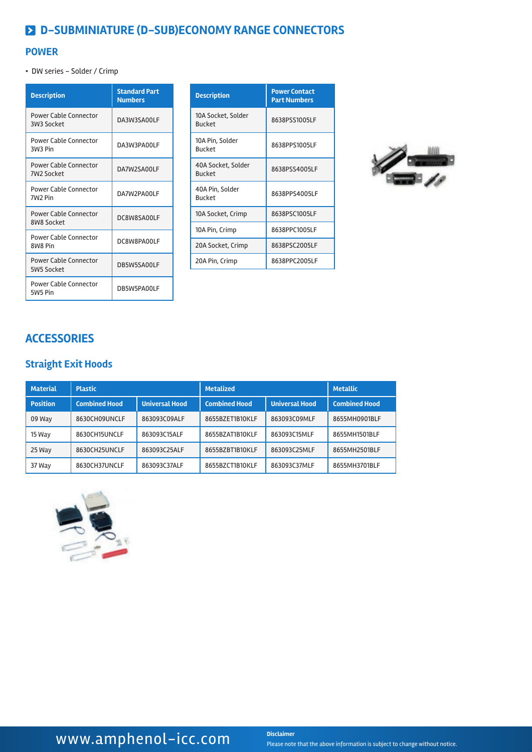#### **POWER**

• DW series - Solder / Crimp

| <b>Description</b>                                  | <b>Standard Part</b><br><b>Numbers</b> |
|-----------------------------------------------------|----------------------------------------|
| <b>Power Cable Connector</b><br>3W3 Socket          | DA3W3SA00LF                            |
| <b>Power Cable Connector</b><br>3W <sub>3</sub> Pin | DA3W3PA00LF                            |
| Power Cable Connector<br>7W <sub>2</sub> Socket     | DA7W2SA00LF                            |
| <b>Power Cable Connector</b><br>7W2 Pin             | DA7W2PA00LF                            |
| <b>Power Cable Connector</b><br>8W8 Socket          | DC8W8SA00LF                            |
| <b>Power Cable Connector</b><br>8W8 Pin             | DC8W8PA00LF                            |
| <b>Power Cable Connector</b><br>5W5 Socket          | DB5W5SA00LF                            |
| <b>Power Cable Connector</b><br>5W5 Pin             | DB5W5PA00LF                            |

| <b>Description</b>                  | <b>Power Contact</b><br><b>Part Numbers</b> |
|-------------------------------------|---------------------------------------------|
| 10A Socket, Solder<br><b>Bucket</b> | 8638PSS1005LF                               |
| 10A Pin, Solder<br><b>Bucket</b>    | 8638PPS1005LF                               |
| 40A Socket, Solder<br><b>Bucket</b> | 8638PSS4005LF                               |
| 40A Pin, Solder<br><b>Bucket</b>    | 8638PPS4005LF                               |
| 10A Socket, Crimp                   | 8638PSC1005LF                               |
| 10A Pin, Crimp                      | 8638PPC1005LF                               |
| 20A Socket, Crimp                   | 8638PSC2005LF                               |
| 20A Pin, Crimp                      | 8638PPC2005LF                               |



### **ACCESSORIES**

### **Straight Exit Hoods**

| <b>Material</b> | <b>Plastic</b>       |                       | <b>Metalized</b>     | <b>Metallic</b>       |                      |
|-----------------|----------------------|-----------------------|----------------------|-----------------------|----------------------|
| <b>Position</b> | <b>Combined Hood</b> | <b>Universal Hood</b> | <b>Combined Hood</b> | <b>Universal Hood</b> | <b>Combined Hood</b> |
| 09 Way          | 8630CH09UNCLF        | 863093C09ALF          | 8655BZET1B10KLF      | 863093C09MLF          | 8655MH0901BLF        |
| 15 Way          | 8630CH15UNCLF        | 863093C15ALF          | 8655BZAT1B10KLF      | 863093C15MLF          | 8655MH1501BLF        |
| 25 Way          | 8630CH25UNCLF        | 863093C25ALF          | 8655BZBT1B10KLF      | 863093C25MLF          | 8655MH2501BLF        |
| 37 Way          | 8630CH37UNCLF        | 863093C37ALF          | 8655BZCT1B10KLF      | 863093C37MLF          | 8655MH3701BLF        |

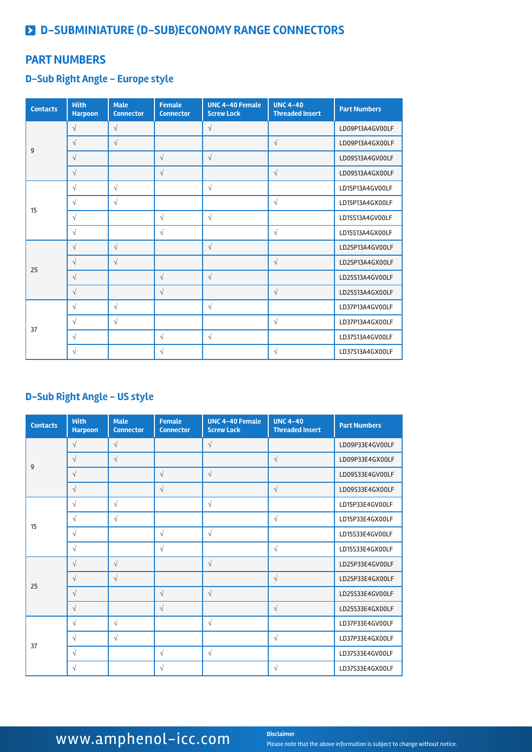#### **PART NUMBERS**

#### **D-Sub Right Angle - Europe style**

| <b>Contacts</b> | <b>With</b><br><b>Harpoon</b> | <b>Male</b><br><b>Connector</b> | <b>Female</b><br><b>Connector</b> | <b>UNC 4-40 Female</b><br><b>Screw Lock</b> | <b>UNC 4-40</b><br><b>Threaded Insert</b> | <b>Part Numbers</b> |
|-----------------|-------------------------------|---------------------------------|-----------------------------------|---------------------------------------------|-------------------------------------------|---------------------|
|                 | $\sqrt{}$                     | $\sqrt{ }$                      |                                   | $\sqrt{}$                                   |                                           | LD09P13A4GV00LF     |
| 9               | $\sqrt{}$                     | $\sqrt{ }$                      |                                   |                                             | $\sqrt{}$                                 | LD09P13A4GX00LF     |
|                 | $\sqrt{ }$                    |                                 | $\sqrt{ }$                        | $\sqrt{}$                                   |                                           | LD09S13A4GV00LF     |
|                 | $\sqrt{}$                     |                                 | $\sqrt{}$                         |                                             | $\sqrt{ }$                                | LD09S13A4GX00LF     |
|                 | $\sqrt{}$                     | $\sqrt{ }$                      |                                   | $\sqrt{}$                                   |                                           | LD15P13A4GV00LF     |
| 15              | $\sqrt{}$                     | $\sqrt{ }$                      |                                   |                                             | $\sqrt{}$                                 | LD15P13A4GX00LF     |
|                 | $\sqrt{ }$                    |                                 | $\sqrt{ }$                        | $\sqrt{ }$                                  |                                           | LD15S13A4GV00LF     |
|                 | $\sqrt{ }$                    |                                 | $\sqrt{ }$                        |                                             | $\sqrt{ }$                                | LD15S13A4GX00LF     |
|                 | $\sqrt{}$                     | $\sqrt{}$                       |                                   | $\sqrt{}$                                   |                                           | LD25P13A4GV00LF     |
| 25              | $\sqrt{}$                     | $\sqrt{ }$                      |                                   |                                             | $\sqrt{ }$                                | LD25P13A4GX00LF     |
|                 | $\sqrt{}$                     |                                 | $\sqrt{ }$                        | $\sqrt{ }$                                  |                                           | LD25S13A4GV00LF     |
|                 | $\sqrt{ }$                    |                                 | $\sqrt{ }$                        |                                             | $\sqrt{ }$                                | LD25S13A4GX00LF     |
|                 | $\sqrt{}$                     | $\sqrt{}$                       |                                   | $\sqrt{ }$                                  |                                           | LD37P13A4GV00LF     |
| 37              | $\sqrt{}$                     | $\sqrt{ }$                      |                                   |                                             | $\sqrt{ }$                                | LD37P13A4GX00LF     |
|                 | $\sqrt{ }$                    |                                 | $\sqrt{ }$                        | $\sqrt{ }$                                  |                                           | LD37S13A4GV00LF     |
|                 | $\sqrt{}$                     |                                 | $\sqrt{}$                         |                                             | $\sqrt{}$                                 | LD37S13A4GX00LF     |

### **D-Sub Right Angle - US style**

| <b>Contacts</b> | <b>With</b><br><b>Harpoon</b> | <b>Male</b><br><b>Connector</b> | <b>Female</b><br><b>Connector</b> | <b>UNC 4-40 Female</b><br><b>Screw Lock</b> | <b>UNC 4-40</b><br><b>Threaded Insert</b> | <b>Part Numbers</b> |
|-----------------|-------------------------------|---------------------------------|-----------------------------------|---------------------------------------------|-------------------------------------------|---------------------|
|                 | $\sqrt{ }$                    | $\sqrt{ }$                      |                                   | $\sqrt{ }$                                  |                                           | LD09P33E4GV00LF     |
| 9               | $\sqrt{ }$                    | $\sqrt{ }$                      |                                   |                                             | $\sqrt{ }$                                | LD09P33E4GX00LF     |
|                 | $\sqrt{ }$                    |                                 | $\sqrt{ }$                        | $\sqrt{ }$                                  |                                           | LD09S33E4GV00LF     |
|                 | $\sqrt{}$                     |                                 | $\sqrt{ }$                        |                                             | $\sqrt{ }$                                | LD09S33E4GX00LF     |
|                 | $\sqrt{ }$                    | $\sqrt{}$                       |                                   | $\sqrt{ }$                                  |                                           | LD15P33E4GV00LF     |
| 15              | $\sqrt{ }$                    | $\sqrt{ }$                      |                                   |                                             | $\sqrt{ }$                                | LD15P33E4GX00LF     |
|                 | $\sqrt{ }$                    |                                 | $\sqrt{ }$                        | $\sqrt{ }$                                  |                                           | LD15S33E4GV00LF     |
|                 | $\sqrt{ }$                    |                                 | $\sqrt{ }$                        |                                             | $\sqrt{ }$                                | LD15S33E4GX00LF     |
|                 | $\sqrt{}$                     | $\sqrt{}$                       |                                   | $\sqrt{ }$                                  |                                           | LD25P33E4GV00LF     |
| 25              | $\sqrt{ }$                    | $\sqrt{}$                       |                                   |                                             | $\sqrt{ }$                                | LD25P33E4GX00LF     |
|                 | $\sqrt{ }$                    |                                 | $\sqrt{ }$                        | $\sqrt{ }$                                  |                                           | LD25S33E4GV00LF     |
|                 | $\sqrt{ }$                    |                                 | $\sqrt{ }$                        |                                             | $\sqrt{ }$                                | LD25S33E4GX00LF     |
|                 | $\sqrt{}$                     | $\sqrt{}$                       |                                   | $\sqrt{ }$                                  |                                           | LD37P33E4GV00LF     |
| 37              | $\sqrt{ }$                    | $\sqrt{}$                       |                                   |                                             | $\sqrt{ }$                                | LD37P33E4GX00LF     |
|                 | $\sqrt{ }$                    |                                 | $\sqrt{ }$                        | $\sqrt{ }$                                  |                                           | LD37S33E4GV00LF     |
|                 | $\sqrt{ }$                    |                                 | $\sqrt{ }$                        |                                             | $\sqrt{ }$                                | LD37S33E4GX00LF     |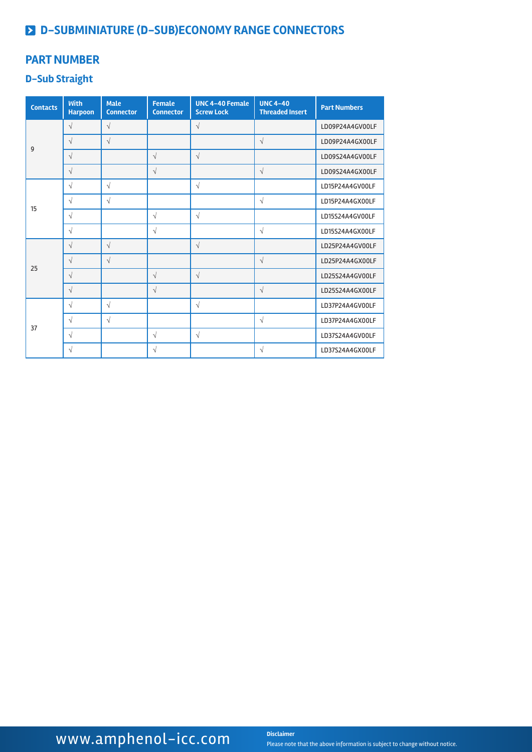#### **PART NUMBER**

### **D-Sub Straight**

| <b>Contacts</b> | <b>With</b><br><b>Harpoon</b> | <b>Male</b><br><b>Connector</b> | <b>Female</b><br><b>Connector</b> | <b>UNC 4-40 Female</b><br><b>Screw Lock</b> | <b>UNC 4-40</b><br><b>Threaded Insert</b> | <b>Part Numbers</b> |
|-----------------|-------------------------------|---------------------------------|-----------------------------------|---------------------------------------------|-------------------------------------------|---------------------|
|                 | $\sqrt{}$                     | $\sqrt{ }$                      |                                   | $\sqrt{}$                                   |                                           | LD09P24A4GV00LF     |
| 9               | $\sqrt{}$                     | $\sqrt{}$                       |                                   |                                             | $\sqrt{ }$                                | LD09P24A4GX00LF     |
|                 | $\sqrt{}$                     |                                 | $\sqrt{ }$                        | $\sqrt{}$                                   |                                           | LD09S24A4GV00LF     |
|                 | $\sqrt{}$                     |                                 | $\sqrt{ }$                        |                                             | $\sqrt{ }$                                | LD09S24A4GX00LF     |
|                 | $\sqrt{}$                     | $\sqrt{ }$                      |                                   | $\sqrt{ }$                                  |                                           | LD15P24A4GV00LF     |
| 15              | $\sqrt{}$                     | $\sqrt{ }$                      |                                   |                                             | $\sqrt{}$                                 | LD15P24A4GX00LF     |
|                 | $\sqrt{}$                     |                                 | $\sqrt{ }$                        | $\sqrt{ }$                                  |                                           | LD15S24A4GV00LF     |
|                 | $\sqrt{}$                     |                                 | $\sqrt{ }$                        |                                             | $\sqrt{}$                                 | LD15S24A4GX00LF     |
|                 | $\sqrt{}$                     | $\sqrt{ }$                      |                                   | $\sqrt{ }$                                  |                                           | LD25P24A4GV00LF     |
| 25              | $\sqrt{}$                     | $\sqrt{ }$                      |                                   |                                             | $\sqrt{ }$                                | LD25P24A4GX00LF     |
|                 | $\sqrt{}$                     |                                 | $\sqrt{}$                         | $\sqrt{}$                                   |                                           | LD25S24A4GV00LF     |
|                 | $\sqrt{}$                     |                                 | $\sqrt{ }$                        |                                             | $\sqrt{ }$                                | LD25S24A4GX00LF     |
|                 | $\sqrt{}$                     | $\sqrt{}$                       |                                   | $\sqrt{ }$                                  |                                           | LD37P24A4GV00LF     |
| 37              | $\sqrt{}$                     | $\sqrt{ }$                      |                                   |                                             | $\sqrt{ }$                                | LD37P24A4GX00LF     |
|                 | $\sqrt{}$                     |                                 | $\sqrt{ }$                        | $\sqrt{}$                                   |                                           | LD37S24A4GV00LF     |
|                 | $\sqrt{}$                     |                                 | $\sqrt{}$                         |                                             | $\sqrt{}$                                 | LD37S24A4GX00LF     |

## WWW.amphenol-icc.com **Disclaimer**